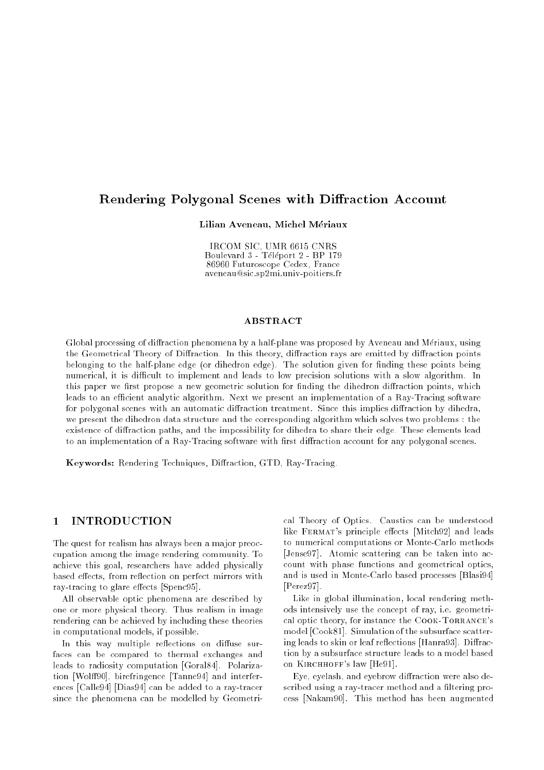# Rendering Polygonal Scenes with Diffraction Account

Lilian Aveneau, Michel Mériaux

IRCOM SIC, UMR 6615 CNRS Boulevard 3 - Teleport 2 - BP 179 - BP 179 - BP 179 - BP 179 - BP 179 - BP 179 - BP 179 - BP 179 - BP 179 - BP 86960 Futuroscope Cedex, France aveneau@sic.sp2mi.univ-poitiers.fr

## ABSTRACT

Global processing of diffraction phenomena by a half-plane was proposed by Aveneau and Mériaux, using the Geometrical Theory of Diffraction. In this theory, diffraction rays are emitted by diffraction points belonging to the half-plane edge (or dihedron edge). The solution given for finding these points being numerical, it is difficult to implement and leads to low precision solutions with a slow algorithm. In this paper we first propose a new geometric solution for finding the dihedron diffraction points, which leads to an efficient analytic algorithm. Next we present an implementation of a Ray-Tracing software for polygonal scenes with an automatic diffraction treatment. Since this implies diffraction by dihedra, we present the dihedron data structure and the corresponding algorithm which solves two problems : the existence of diffraction paths, and the impossibility for dihedra to share their edge. These elements lead to an implementation of a Ray-Tracing software with first diffraction account for any polygonal scenes.

Keywords: Rendering Techniques, Diffraction, GTD, Ray-Tracing.

## 1 INTRODUCTION

The quest for realism has always been a major preoccupation among the image rendering community. To achieve this goal, researchers have added physically based effects, from reflection on perfect mirrors with ray-tracing to glare effects [Spenc95].

All observable optic phenomena are described by one or more physical theory. Thus realism in image rendering can be achieved by including these theories in computational models, if possible.

In this way multiple reflections on diffuse surfaces can be compared to thermal exchanges and leads to radiosity computation [Goral84]. Polarization [Wolff90], birefringence [Tanne94] and interferences [Calle94] [Dias94] can be added to a ray-tracer since the phenomena can be modelled by Geometrical Theory of Optics. Caustics can be understood like FERMAT's principle effects [Mitch92] and leads to numerical computations or Monte-Carlo methods [Jense97]. Atomic scattering can be taken into account with phase functions and geometrical optics, and is used in Monte-Carlo based processes [Blasi94] [Perez97].

Like in global illumination, local rendering methods intensively use the concept of ray, i.e. geometrical optic theory, for instance the COOK-TORRANCE's model [Cook81]. Simulation of the subsurface scattering leads to skin or leaf reflections [Hanra93]. Diffraction by a subsurface structure leads to a model based on Kirchhoff's law [He91].

Eye, eyelash, and eyebrow diffraction were also described using a ray-tracer method and a filtering process [Nakam90]. This method has been augmented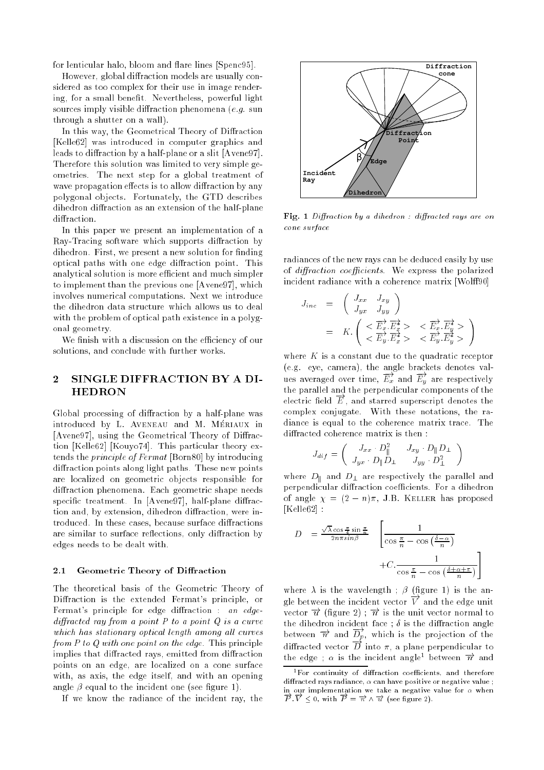for lenticular halo, bloom and flare lines [Spenc95].

However, global diffraction models are usually considered as too complex for their use in image rendering, for a small benefit. Nevertheless, powerful light sources imply visible diffraction phenomena (e.g. sun through a shutter on a wall).

In this way, the Geometrical Theory of Diffraction [Kelle62] was introduced in computer graphics and leads to diffraction by a half-plane or a slit [Avene97]. Therefore this solution was limited to very simple geometries. The next step for a global treatment of wave propagation effects is to allow diffraction by any polygonal objects. Fortunately, the GTD describes dihedron diffraction as an extension of the half-plane diffraction.

In this paper we present an implementation of a Ray-Tracing software which supports diffraction by dihedron. First, we present a new solution for finding optical paths with one edge diffraction point. This analytical solution is more efficient and much simpler to implement than the previous one [Avene97], which involves numerical computations. Next we introduce the dihedron data structure which allows us to deal with the problem of optical path existence in a polygonal geometry.

We finish with a discussion on the efficiency of our solutions, and conclude with further works.

# 2 SINGLE DIFFRACTION BY A DI-HEDRON

Global processing of diffraction by a half-plane was introduced by L. AVENEAU and M. MÉRIAUX in [Avene97], using the Geometrical Theory of Diffraction [Kelle62] [Kouyo74]. This particular theory extends the principle of Fermat [Born80] by introducing diffraction points along light paths. These new points are localized on geometric objects responsible for diffraction phenomena. Each geometric shape needs specific treatment. In  $[Average 97]$ , half-plane diffraction and, by extension, dihedron diffraction, were introduced. In these cases, because surface diffractions are similar to surface reflections, only diffraction by edges needs to be dealt with.

### 2.1 Geometric Theory of Diffraction

The theoretical basis of the Geometric Theory of Diffraction is the extended Fermat's principle, or Fermat's principle for edge diffraction : an edgediracted ray from a point P to a point Q is a curve which has stationary optical length among and each le from P to Q with one point on the edge. This principle implies that diffracted rays, emitted from diffraction points on an edge, are localized on a cone surface with, as axis, the edge itself, and with an opening angle  $\beta$  equal to the incident one (see figure 1).

If we know the radiance of the incident ray, the



Fig. 1 Diraction by a dihedron : diracted rays are on cone surface

radiances of the new rays can be deduced easily by use of *diffraction coefficients*. We express the polarized incident radiance with a coherence matrix [Wolff90]

$$
J_{inc} = \begin{pmatrix} J_{xx} & J_{xy} \\ J_{yx} & J_{yy} \end{pmatrix}
$$
  
=  $K \cdot \begin{pmatrix} < \overrightarrow{E_x} \cdot \overrightarrow{E_x} > < \overrightarrow{E_x} \cdot \overrightarrow{E_x} > < \overrightarrow{E_y} \cdot \overrightarrow{E_y} \cdot \overrightarrow{E_y} > < \overrightarrow{E_y} \cdot \overrightarrow{E_y} \end{pmatrix}$ 

where  $K$  is a constant due to the quadratic receptor (e.g. eye, camera), the angle brackets denotes values averaged over time,  $\overrightarrow{E_x}$  and  $\overrightarrow{E_y}$  are respectively the parallel and the perpendicular components of the electric field  $\overrightarrow{E}$ , and starred superscript denotes the complex conjugate. With these notations, the radiance is equal to the coherence matrix trace. The diffracted coherence matrix is then:

$$
J_{dif} = \left( \begin{array}{cc} J_{xx} \cdot D_{\parallel}^2 & J_{xy} \cdot D_{\parallel} D_{\perp} \\ J_{yx} \cdot D_{\parallel} D_{\perp} & J_{yy} \cdot D_{\perp}^2 \end{array} \right)
$$

where  $D_{\parallel}$  and  $D_{\perp}$  are respectively the parallel and perpendicular diffraction coefficients. For a dihedron of angle  $\chi = (2 - n)\pi$ , J.B. KELLER has proposed [Kelle62] :

$$
D = \frac{\sqrt{\lambda} \cos \frac{\pi}{4} \sin \frac{\pi}{n}}{2n\pi \sin \beta} \left[ \frac{1}{\cos \frac{\pi}{n} - \cos \left( \frac{\delta - \alpha}{n} \right)} + C \cdot \frac{1}{\cos \frac{\pi}{n} - \cos \left( \frac{\delta + \alpha + \pi}{n} \right)} \right]
$$

where  $\lambda$  is the wavelength ;  $\beta$  (figure 1) is the angle between the incident vector  $\overrightarrow{V}$  and the edge unit vector  $\overrightarrow{u}$  (figure 2);  $\overrightarrow{n}$  is the unit vector normal to the dihedron incident face;  $\delta$  is the diffraction angle between  $\overrightarrow{n}$  and  $\overrightarrow{D_p}$ , which is the projection of the diffracted vector  $\overrightarrow{D}$  into  $\pi$ , a plane perpendicular to the edge ; is the incident angle1 between !n and

 $\,$  ror continuity of diffraction coefficients, and therefore diracted rays radiance, can have positive or negative value ; in our implementation we take a negative value for when  $\overrightarrow{P} \cdot \overrightarrow{V} \leq 0$ , with  $\overrightarrow{P} = \overrightarrow{n} \wedge \overrightarrow{u}$  (see figure 2).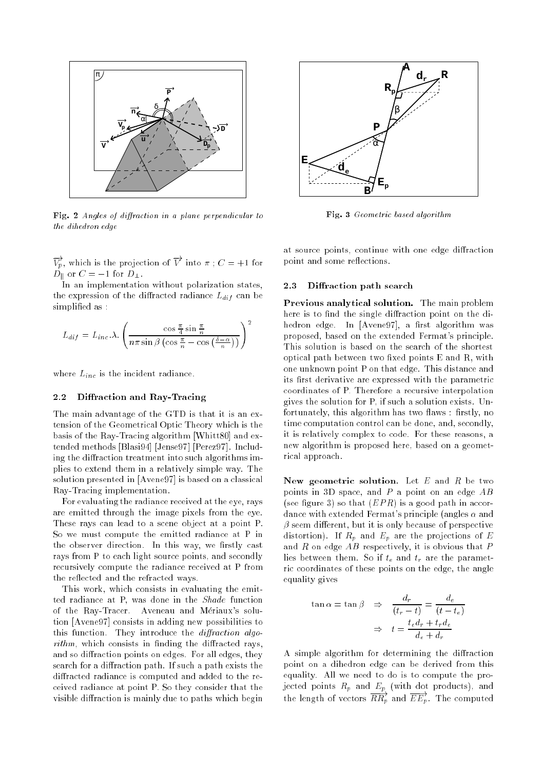

Fig. <sup>2</sup> Angles of diraction in a plane perpendicular to the dihedron edge

 $V_p$ , which is the projection of V into  $\pi$ ;  $C = +1$  for  $D_{\parallel}$  or  $C = -1$  for  $D_{\perp}$ .

In an implementation without polarization states, the expression of the diffracted radiance  $L_{dif}$  can be simplified as:

$$
L_{dif} = L_{inc} \lambda \cdot \left(\frac{\cos\frac{\pi}{4}\sin\frac{\pi}{n}}{n\pi \sin\beta \left(\cos\frac{\pi}{n} - \cos\left(\frac{\delta - \alpha}{n}\right)\right)}\right)^2
$$

where  $L_{inc}$  is the incident radiance.

#### $2.2$ Diffraction and Ray-Tracing

The main advantage of the GTD is that it is an extension of the Geometrical Optic Theory which is the basis of the Ray-Tracing algorithm [Whitt80] and extended methods [Blasi94] [Jense97] [Perez97]. Including the diffraction treatment into such algorithms implies to extend them in a relatively simple way. The solution presented in [Avene97] is based on a classical Ray-Tracing implementation.

For evaluating the radiance received at the eye, rays are emitted through the image pixels from the eye. These rays can lead to a scene object at a point P. So we must compute the emitted radiance at P in the observer direction. In this way, we firstly cast rays from P to each light source points, and secondly recursively compute the radiance received at P from the reflected and the refracted ways.

This work, which consists in evaluating the emitted radiance at P, was done in the Shade function of the Ray-Tracer. Aveneau and Meriaux's solution [Avene97] consists in adding new possibilities to this function. They introduce the *diffraction algo* $rithm$ , which consists in finding the diffracted rays, and so diffraction points on edges. For all edges, they search for a diffraction path. If such a path exists the diffracted radiance is computed and added to the received radiance at point P. So they consider that the visible diffraction is mainly due to paths which begin



Fig. 3 Geometric based algorithm

at source points, continue with one edge diffraction point and some reflections.

## 2.3 Diffraction path search

Previous analytical solution. The main problem here is to find the single diffraction point on the dihedron edge. In [Avene97], a first algorithm was proposed, based on the extended Fermat's principle. This solution is based on the search of the shortest optical path between two fixed points  $E$  and  $R$ , with one unknown point P on that edge. This distance and its first derivative are expressed with the parametric coordinates of P. Therefore a recursive interpolation gives the solution for P, if such a solution exists. Unfortunately, this algorithm has two flaws: firstly, no time computation control can be done, and, secondly, it is relatively complex to code. For these reasons, a new algorithm is proposed here, based on a geometrical approach.

New geometric solution. Let  $E$  and  $R$  be two points in 3D space, and  $P$  a point on an edge  $AB$ (see figure 3) so that  $(EPR)$  is a good path in accordance with extended Fermat's principle (angles  $\alpha$  and  $\beta$  seem different, but it is only because of perspective distortion). If  $R_p$  and  $E_p$  are the projections of E and  $R$  on edge  $AB$  respectively, it is obvious that  $P$ lies between them. So if  $t_e$  and  $t_r$  are the parametric coordinates of these points on the edge, the angle equality gives

$$
\tan \alpha = \tan \beta \quad \Rightarrow \quad \frac{d_r}{(t_r - t)} = \frac{d_e}{(t - t_e)}
$$
\n
$$
\Rightarrow \quad t = \frac{t_e d_r + t_r d_e}{d_e + d_r}
$$

A simple algorithm for determining the diffraction point on a dihedron edge can be derived from this equality. All we need to do is to compute the projected points  $R_p$  and  $E_p$  (with dot products), and the length of vectors  $RR_n$  and  $EE_n$ . The computed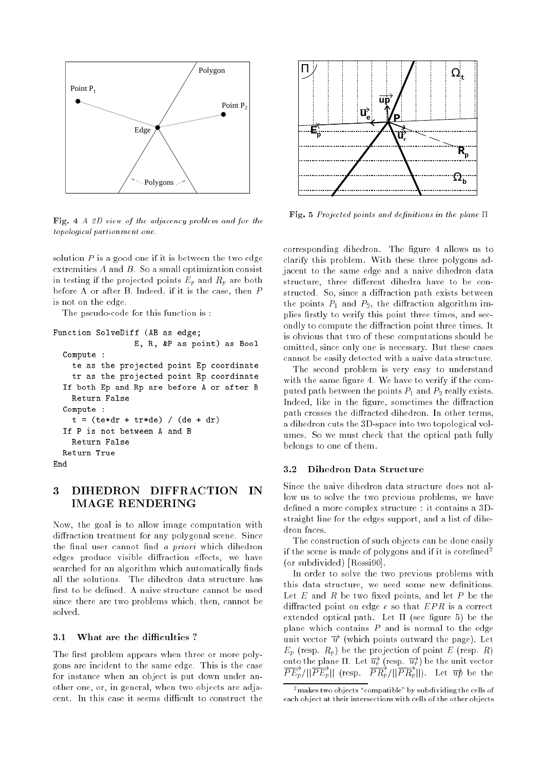

Fig. <sup>4</sup> A 2D view of the adjacency problem and for the topological partionment one.

solution  $P$  is a good one if it is between the two edge extremities A and B. So a small optimization consist in testing if the projected points  $E_p$  and  $R_p$  are both before A or after B. Indeed, if it is the case, then P is not on the edge.

The pseudo-code for this function is :

```
Function SolveDiff (AB as edge;
                 E, R, &P as point) as Bool
  Compute :
    te as the projected point Ep coordinate
    tr as the projected point Rp coordinate
  If both Ep and Rp are before A or after B
    Return False
  Compute :
    t = (te*dr + tr*de) / (de + dr)If P is not between A and B
    Return False
  Return True
End
```
# 3 DIHEDRON DIFFRACTION IN IMAGE RENDERING

Now, the goal is to allow image computation with diffraction treatment for any polygonal scene. Since the final user cannot find *a priori* which dihedron edges produce visible diffraction effects, we have searched for an algorithm which automatically finds all the solutions. The dihedron data structure has first to be defined. A naive structure cannot be used since there are two problems which, then, cannot be solved.

#### What are the difficulties?  $3.1$

The first problem appears when three or more polygons are incident to the same edge. This is the case for instance when an object is put down under another one, or, in general, when two objects are adjacent. In this case it seems difficult to construct the



Fig. 5 Projected points and definitions in the plane  $\Pi$ 

corresponding dihedron. The figure 4 allows us to clarify this problem. With these three polygons adjacent to the same edge and a naive dihedron data structure, three different dihedra have to be constructed. So, since a diffraction path exists between the points  $P_1$  and  $P_2$ , the diffraction algorithm implies firstly to verify this point three times, and secondly to compute the diffraction point three times. It is obvious that two of these computations should be omitted, since only one is necessary. But these cases cannot be easily detected with a naive data structure.

The second problem is very easy to understand with the same figure 4. We have to verify if the computed path between the points  $P_1$  and  $P_2$  really exists. Indeed, like in the figure, sometimes the diffraction path crosses the diffracted dihedron. In other terms, a dihedron cuts the 3D-space into two topological volumes. So we must check that the optical path fully belongs to one of them.

### 3.2 Dihedron Data Structure

Since the naive dihedron data structure does not allow us to solve the two previous problems, we have defined a more complex structure : it contains a 3Dstraight line for the edges support, and a list of dihedron faces.

The construction of such objects can be done easily if the scene is made of polygons and if it is corefined<sup>2</sup> (or subdivided) [Rossi90].

In order to solve the two previous problems with this data structure, we need some new definitions. Let  $E$  and  $R$  be two fixed points, and let  $P$  be the diffracted point on edge  $e$  so that  $EPR$  is a correct extended optical path. Let  $\Pi$  (see figure 5) be the plane which contains  $P$  and is normal to the edge unit vector  $\vec{u}$  (which points outward the page). Let  $E_p$  (resp.  $R_p$ ) be the projection of point E (resp. R) onto the plane  $\Pi$ . Let  $\overrightarrow{u_e}$  (resp.  $\overrightarrow{u_r}$ ) be the unit vector  $\overrightarrow{PE_p}/\vert \vert \overrightarrow{PE_p} \vert \vert$  (resp.  $\overrightarrow{PR_p}/\vert \vert \overrightarrow{PR_p} \vert \vert$ ). Let  $\overrightarrow{up}$  be the

<sup>-</sup> makes two objects compatible tby subdividing the cells of each object at their intersections with cells of the other objects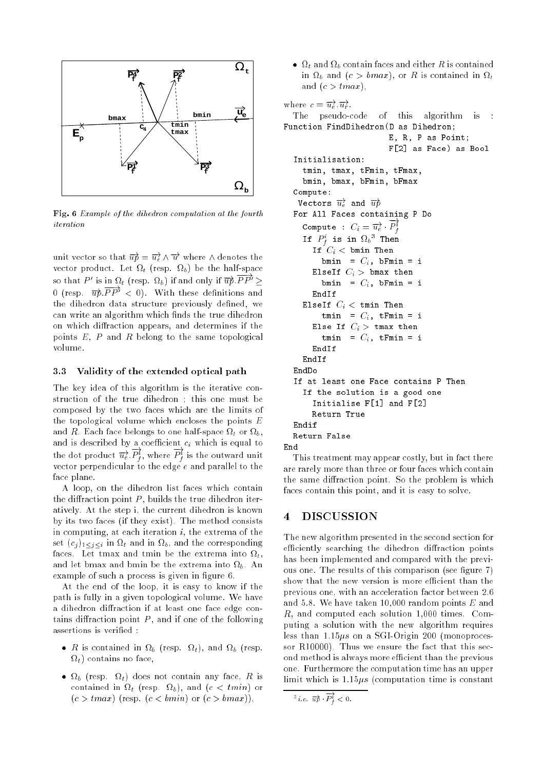

Fig. 6 Example of the dihedron computation at the fourth iteration

unit vector so that  $\overrightarrow{up} = \overrightarrow{u_e} \wedge \overrightarrow{u}$  where  $\wedge$  denotes the t for the half-space of the half-space  $\mathcal{V}$  (resp. to the half-space of the half-space of the half-space of the half-space of the half-space of the half-space of the half-space of the half-space of the half-space of t so that P' is in  $\Omega_t$  (resp.  $\Omega_b$ ) if and only if  $\overrightarrow{up}.PP' \geq$ 0 (resp.  $\overrightarrow{up}.PP' < 0$ ). With these definitions and the dihedron data structure previously defined, we can write an algorithm which finds the true dihedron on which diffraction appears, and determines if the points  $E, P$  and  $R$  belong to the same topological volume.

## 3.3 Validity of the extended optical path

The key idea of this algorithm is the iterative construction of the true dihedron ; this one must be composed by the two faces which are the limits of the topological volume which encloses the points  $E$ and  $R.$  Each face belongs to one half-space  $\Omega_t$  or  $\Omega_b,$ and is described by a coefficient  $c_i$  which is equal to the dot product  $\overrightarrow{u_{e}}$   $P_{f}^{i}$ , where  $P_{f}^{i}$  is the outward unit vector perpendicular to the edge  $e$  and parallel to the face plane.

A loop, on the dihedron list faces which contain the diffraction point  $P$ , builds the true dihedron iteratively. At the step i, the current dihedron is known by its two faces (if they exist). The method consists in computing, at each iteration  $i$ , the extrema of the set  $(c_i)_{1 \leq i \leq i}$  in  $\Omega_t$  and in  $\Omega_b$ , and the corresponding faces. Let tmax and tmin be the extrema into t,  $\mathcal{Q}$ example of such a process is given in figure 6.

At the end of the loop, it is easy to know if the path is fully in a given topological volume. We have a dihedron diffraction if at least one face edge contains diffraction point  $P$ , and if one of the following assertions is verified :

- R is contained in  $\Omega_b$  (resp.  $\Omega_t$ ), and  $\Omega_b$  (resp. t) contains no face,
- $\bullet$   $\Omega_b$  (resp.  $\Omega_t$ ) does not contain any face, R is contained in  $\Omega_t$  (resp.  $\Omega_b$ ), and ( $c < tmin$ ) or  $(c > tmax)$  (resp.  $(c < bmin)$  or  $(c > bmax)$ ),

 $\bullet$   $\Omega_t$  and  $\Omega_b$  contain faces and either R is contained in  $\Omega_b$  and  $(c > bmax)$ , or R is contained in  $\Omega_t$ and  $(c > tmax)$ ,

```
where c = \overrightarrow{u_e} \cdot \overrightarrow{u_r}.
  The pseudo-code of this algorithm is :
Function FindDihedron(D as Dihedron;
                            E, R, P as Point;
                            F[2] as Face) as Bool
  Initialisation:
     tmin, tmax, tFmin, tFmax,
     bmin, bmax, bFmin, bFmax
  Compute:
   Vectors \overrightarrow{u_e} and \overrightarrow{up}For All Faces containing P Do
     Compute : C_i = \overrightarrow{u_e} \cdot P_f^i<br>If P_f^i is in \Omega_b^3 Then
       If C_i < bmin Then
          bmin = C_i, bFmin = i
       ElseIf C_i > bmax then
          bmin = C_i, bFmin = i
       EndIf
     ElseIf C_i < tmin Then
          tmin = C_i, tFmin = i
       Else If C_i > tmax then
          tmin = C_i, tFmin = i
       EndIf
  If at least one Face contains P Then
     If the solution is a good one
       Initialise F[1] and F[2]
       Return True
  Endif
  Return False
End
```
This treatment may appear costly, but in fact there are rarely more than three or four faces which contain the same diffraction point. So the problem is which faces contain this point, and it is easy to solve.

# 4 DISCUSSION

The new algorithm presented in the second section for efficiently searching the dihedron diffraction points has been implemented and compared with the previous one. The results of this comparison (see figure 7) show that the new version is more efficient than the previous one, with an acceleration factor between 2.6 and 5.8. We have taken 10,000 random points E and R, and computed each solution 1,000 times. Computing a solution with the new algorithm requires less than  $1.15\mu s$  on a SGI-Origin 200 (monoprocessor R10000). Thus we ensure the fact that this second method is always more efficient than the previous one. Furthermore the computation time has an upper limit which is  $1.15\mu s$  (computation time is constant

<sup>&</sup>lt;sup>3</sup> *i.e.*  $\overrightarrow{up} \cdot P_f^1 < 0$ .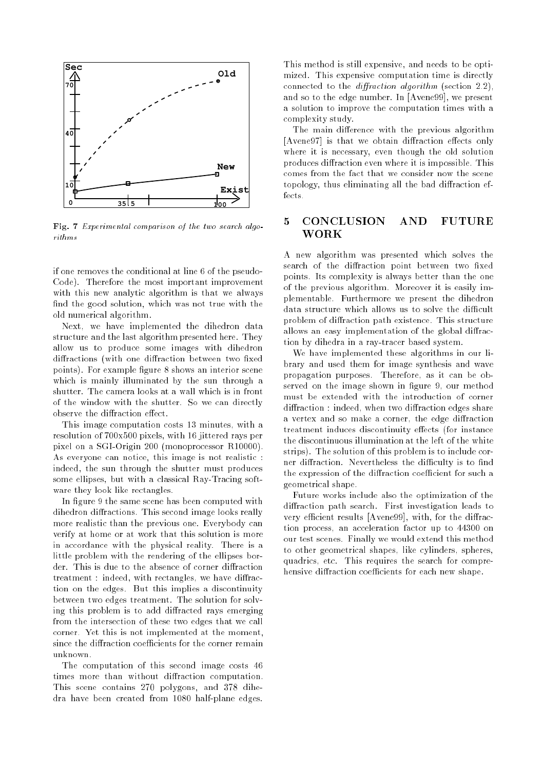

Fig. <sup>7</sup> Experimental comparison of the two search algorithms

if one removes the conditional at line 6 of the pseudo-Code). Therefore the most important improvement with this new analytic algorithm is that we always find the good solution, which was not true with the old numerical algorithm.

Next, we have implemented the dihedron data structure and the last algorithm presented here. They allow us to produce some images with dihedron diffractions (with one diffraction between two fixed points). For example figure 8 shows an interior scene which is mainly illuminated by the sun through a shutter. The camera looks at a wall which is in front of the window with the shutter. So we can directly observe the diffraction effect.

This image computation costs 13 minutes, with a resolution of 700x500 pixels, with 16 jittered rays per pixel on a SGI-Origin 200 (monoprocessor R10000). As everyone can notice, this image is not realistic : indeed, the sun through the shutter must produces some ellipses, but with a classical Ray-Tracing software they look like rectangles.

In figure 9 the same scene has been computed with dihedron diffractions. This second image looks really more realistic than the previous one. Everybody can verify at home or at work that this solution is more in accordance with the physical reality. There is a little problem with the rendering of the ellipses border. This is due to the absence of corner diffraction treatment : indeed, with rectangles, we have diffraction on the edges. But this implies a discontinuity between two edges treatment. The solution for solving this problem is to add diffracted rays emerging from the intersection of these two edges that we call corner. Yet this is not implemented at the moment, since the diffraction coefficients for the corner remain unknown.

The computation of this second image costs 46 times more than without diffraction computation. This scene contains 270 polygons, and 378 dihedra have been created from 1080 half-plane edges. This method is still expensive, and needs to be optimized. This expensive computation time is directly connected to the *diffraction algorithm* (section  $2.2$ ), and so to the edge number. In [Avene99], we present a solution to improve the computation times with a complexity study.

The main difference with the previous algorithm  $[A$ vene97] is that we obtain diffraction effects only where it is necessary, even though the old solution produces diffraction even where it is impossible. This comes from the fact that we consider now the scene topology, thus eliminating all the bad diffraction effects.

# 5 CONCLUSION AND FUTURE WORK

A new algorithm was presented which solves the search of the diffraction point between two fixed points. Its complexity is always better than the one of the previous algorithm. Moreover it is easily implementable. Furthermore we present the dihedron data structure which allows us to solve the difficult problem of diffraction path existence. This structure allows an easy implementation of the global diffraction by dihedra in a ray-tracer based system.

We have implemented these algorithms in our library and used them for image synthesis and wave propagation purposes. Therefore, as it can be observed on the image shown in figure 9, our method must be extended with the introduction of corner diffraction : indeed, when two diffraction edges share a vertex and so make a corner, the edge diffraction treatment induces discontinuity effects (for instance the discontinuous illumination at the left of the white strips). The solution of this problem is to include corner diffraction. Nevertheless the difficulty is to find the expression of the diffraction coefficient for such a geometrical shape.

Future works include also the optimization of the diffraction path search. First investigation leads to very efficient results [Avene99], with, for the diffraction process, an acceleration factor up to 44300 on our test scenes. Finally we would extend this method to other geometrical shapes, like cylinders, spheres, quadrics, etc. This requires the search for comprehensive diffraction coefficients for each new shape.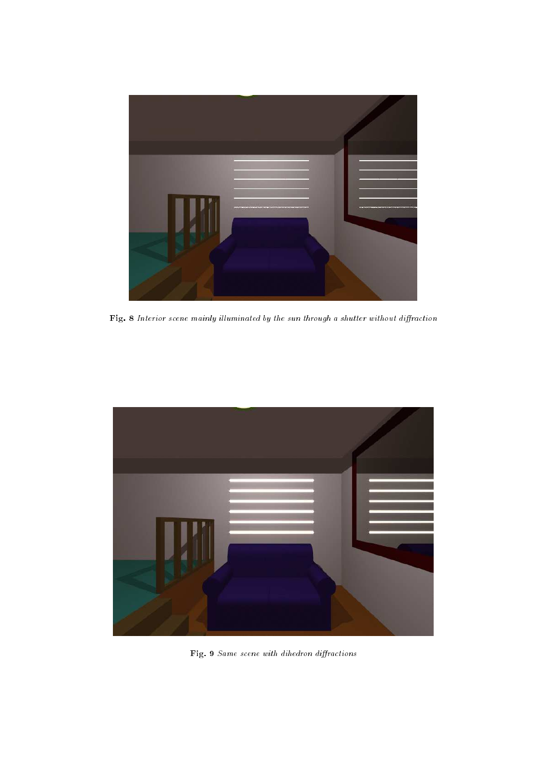

Fig. 8 Interior scene mainly il luminated by the sun through a shutter without diraction



Fig. 9 Same scene with dihedron diractions